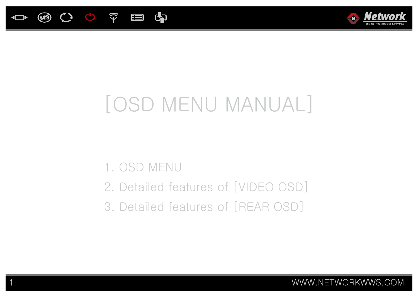



# [OSD MENU MANUAL]

# 1. OSD MENU

- 2. Detailed features of [VIDEO OSD]
- 3. Detailed features of [REAR OSD]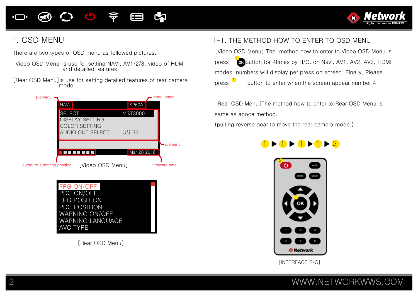### $\bigcirc$  $\widehat{\mathbf{P}}$ E



### 1. OSD MENU

There are two types of OSD menu as followed pictures.

- [Video OSD Menu]is use for setting NAVI, AV1/2/3, video of HDMI and detailed features.
- [Rear OSD Menu]is use for setting detailed features of rear camera mode.





[Rear OSD Menu]

### 1-1. THE METHOD HOW TO ENTER TO OSD MENU

[Video OSD Menu] The method how to enter to Video OSD Menu is press **for** button for 4times by R/C, on Navi, AV1, AV2, AV3, HDMI modes. numbers will display per press on screen. Finally, Please press  $\epsilon$  button to enter when the screen appear number 4. 2

[Rear OSD Menu]The method how to enter to Rear OSD Menu is same as aboce method.

(pulting reverse gear to move the rear camera mode.)





[INTERFACE R/C]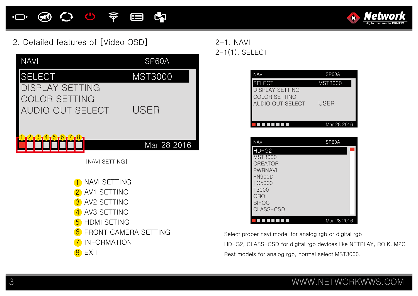

### 2. Detailed features of [Video OSD]



2-1. NAVI 2-1(1). SELECT

| <b>NAVI</b>                                    | SP60A       |
|------------------------------------------------|-------------|
| <b>SELECT</b>                                  | MST3000     |
| <b>DISPLAY SETTING</b><br><b>COLOR SETTING</b> |             |
| AUDIO OUT SELECT                               | <b>USER</b> |
|                                                | Mar 28 2016 |
|                                                |             |
| <b>NAVI</b>                                    | SP60A       |
| $HD-G2$                                        |             |
| <b>MST3000</b><br><b>CREATOR</b>               |             |
| <b>PWRNAVI</b>                                 |             |
| <b>FN900D</b>                                  |             |
| <b>TC5000</b>                                  |             |
| T3000                                          |             |
| QROI                                           |             |
| <b>BIFOC</b><br>CLASS-CSD                      |             |
| l.                                             | Mar 28 2016 |

Select proper navi model for analog rgb or digital rgb HD-G2, CLASS-CSD for digital rgb devices like NETPLAY, ROIK, M2C Rest models for analog rgb, normal select MST3000.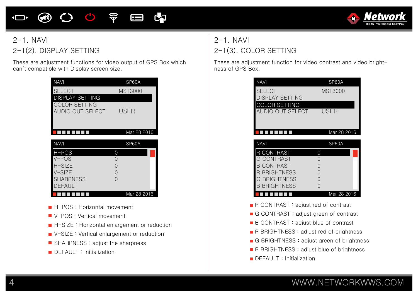### $\mathbf{C}$ 令 内 目  $(\kappa)$



# $2-1$ . NAVI 2-1(2). DISPLAY SETTING

These are adjustment functions for video output of GPS Box which can't compatible with Display screen size.

| <b>NAVI</b>                       | SP60A       |
|-----------------------------------|-------------|
| <b>SELECT</b>                     | MST3000     |
| DISPLAY SETTING                   |             |
| COLOR SETTING<br>AUDIO OUT SELECT | USER        |
|                                   | Mar 28 2016 |
|                                   |             |
| <b>NAVI</b>                       | SP60A       |
| H-POS                             | 0           |
| $V-POS$                           | 0           |
| $H-SIZF$                          | $\Omega$    |
| $V-SIZF$                          | 0           |
| <b>SHARPNESS</b>                  | ∩           |
| <b>DEFAULT</b>                    |             |

- **H-POS : Horizontal movement**
- V-POS : Vertical movement
- H-SIZE : Horizontal enlargement or reduction
- V-SIZE : Vertical enlargement or reduction
- SHARPNESS : adjust the sharpness
- **DEFAULT** : Initialization

# 2-1. NAVI 2-1(3). COLOR SETTING

These are adjustment function for video contrast and video brightness of GPS Box.

| <b>NAVI</b>            | SP60A          |
|------------------------|----------------|
| <b>SELECT</b>          | <b>MST3000</b> |
| <b>DISPLAY SETTING</b> |                |
| <b>COLOR SETTING</b>   |                |
| AUDIO OUT SFI FCT      | USER           |
|                        |                |
|                        |                |
|                        | Mar 28 2016    |
|                        |                |
| <b>NAVI</b>            | SP60A          |
| R CONTRAST             | ∩              |
| G CONTRAST             |                |
| B CONTRAST             | ∩              |
| R BRIGHTNESS           | ∩              |
| G BRIGHTNESS           |                |
| B BRIGHTNESS           |                |
|                        | Mar 28 2016    |

- R CONTRAST: adjust red of contrast
- G CONTRAST: adjust green of contrast
- B CONTRAST : adjust blue of contrast
- R BRIGHTNESS : adjust red of brightness
- G BRIGHTNESS: adjust green of brightness
- B BRIGHTNESS : adjust blue of brightness
- $\blacksquare$  DEFAULT : Initialization

### 4 WWW.NETWORKWWS.COM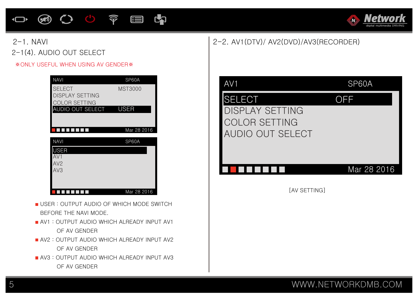### **④〇〇字目内**  $\Box$



### 2-1. NAVI 2-1(4). AUDIO OUT SELECT

### ※ONLY USEFUL WHEN USING AV GENDER※

| <b>NAVI</b>                             | SP60A          |
|-----------------------------------------|----------------|
| <b>SELECT</b><br><b>DISPLAY SETTING</b> | <b>MST3000</b> |
| <b>COLOR SETTING</b>                    |                |
| AUDIO OUT SELECT                        | USER           |
|                                         |                |
|                                         | Mar 28 2016    |
| <b>NAVI</b>                             | SP60A          |
| USER                                    |                |
| AV1                                     |                |
| AV <sub>2</sub>                         |                |
| AV3                                     |                |
|                                         |                |
|                                         |                |
|                                         | Mar 28 2016    |

- USER : OUTPUT AUDIO OF WHICH MODE SWITCH BEFORE THE NAVI MODE.
- **AV1: OUTPUT AUDIO WHICH ALREADY INPUT AV1** OF AV GENDER
- **AV2 : OUTPUT AUDIO WHICH ALREADY INPUT AV2** OF AV GENDER
- **AV3: OUTPUT AUDIO WHICH ALREADY INPUT AV3** OF AV GENDER

### 2-2. AV1(DTV)/ AV2(DVD)/AV3(RECORDER)

| AV1                                                                          | SP60A       |
|------------------------------------------------------------------------------|-------------|
| SELECT<br><b>DISPLAY SETTING</b><br><b>COLOR SETTING</b><br>AUDIO OUT SELECT | OFF         |
|                                                                              | Mar 28 2016 |
| [AV SETTING]                                                                 |             |
|                                                                              |             |
|                                                                              |             |
|                                                                              |             |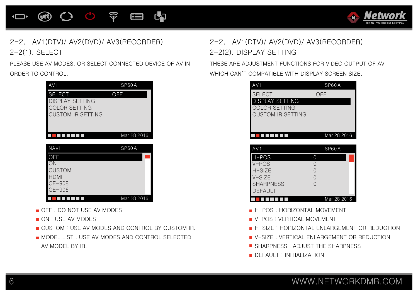

### 2-2. AV1(DTV)/ AV2(DVD)/ AV3(RECORDER) 2-2(1). SELECT

PLEASE USE AV MODES, OR SELECT CONNECTED DEVICE OF AV IN ORDER TO CONTROL.

| OFF         |
|-------------|
| Mar 28 2016 |
| SP60A       |
| Mar 28 2016 |
|             |

- OFF : DO NOT USE AV MODES
- ON : USE AV MODES
- **CUSTOM : USE AV MODES AND CONTROL BY CUSTOM IR.**
- **MODEL LIST : USE AV MODES AND CONTROL SELECTED** AV MODEL BY IR.

# 2-2. AV1(DTV)/ AV2(DVD)/ AV3(RECORDER) 2-2(2). DISPLAY SETTING

THESE ARE ADJUSTMENT FUNCTIONS FOR VIDEO OUTPUT OF AV WHICH CAN'T COMPATIBLE WITH DISPLAY SCREEN SIZE.

| AV 1                                    | SP60A       |
|-----------------------------------------|-------------|
| <b>SELECT</b><br><b>DISPLAY SETTING</b> | ()トト        |
| <b>COLOR SETTING</b>                    |             |
| <b>CUSTOM IR SETTING</b>                |             |
|                                         |             |
|                                         | Mar 28 2016 |

| AV 1             | SP60A       |
|------------------|-------------|
| H-POS            |             |
| $V - POS$        |             |
| $H-SIZE$         |             |
| $V-SIZE$         |             |
| <b>SHARPNESS</b> |             |
| <b>DEFAULT</b>   |             |
|                  | Mar 28 2016 |

- **H-POS : HORIZONTAL MOVEMENT**
- **V-POS : VERTICAL MOVEMENT**
- **H-SIZE: HORIZONTAL ENLARGEMENT OR REDUCTION**
- **U** V-SIZE : VERTICAL ENLARGEMENT OR REDUCTION
- **SHARPNESS: ADJUST THE SHARPNESS**
- DEFAULT : INITIALIZATION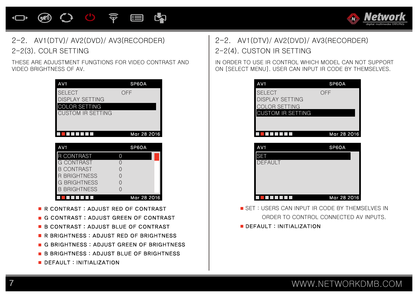

### 2-2. AV1(DTV)/ AV2(DVD)/ AV3(RECORDER) 2-2. AV1(DTV)/ AV2(DVD)/ AV3(RECORDER) 2-2(3). COLR SETTING 2-2(4). CUSTON IR SETTING

THESE ARE ADJUSTMENT FUNGTIONS FOR VIDEO CONTRAST AND VIDEO BRIGHTNESS OF AV.

| AV1               |     | SP6OA       |
|-------------------|-----|-------------|
| <b>SELECT</b>     | OFF |             |
| DISPLAY SETTING   |     |             |
| COLOR SETTING     |     |             |
| CUSTOM IR SFTTING |     |             |
|                   |     |             |
|                   |     |             |
|                   |     | Mar 28 2016 |
|                   |     |             |
| AV1               |     | SP6OA       |
| <b>CONTRAST</b>   | 0   |             |
| G CONTRAST        |     |             |
| <b>CONTRAST</b>   | ∩   |             |
| R BRIGHTNESS      | ∩   |             |
| G BRIGHTNESS      | ∩   |             |
| B BRIGHTNESS      |     |             |

- R CONTRAST: ADJUST RED OF CONTRAST
- G CONTRAST: ADJUST GREEN OF CONTRAST
- **B CONTRAST: ADJUST BLUE OF CONTRAST**
- R BRIGHTNESS : ADJUST RED OF BRIGHTNESS
- G BRIGHTNESS : ADJUST GREEN OF BRIGHTNESS
- **B BRIGHTNESS: ADJUST BLUE OF BRIGHTNESS**
- DEFAULT: INITIALIZATION

IN ORDER TO USE IR CONTROL WHICH MODEL CAN NOT SUPPORT ON [SELECT MENU]. USER CAN INPUT IR CODE BY THEMSELVES.

| AV1                      | SP6OA       |
|--------------------------|-------------|
| <b>SELECT</b>            | OFF         |
| <b>DISPLAY SETTING</b>   |             |
| <b>COLOR SETTING</b>     |             |
| <b>CUSTOM IR SETTING</b> |             |
|                          |             |
|                          | Mar 28 2016 |
|                          |             |
| AV <sub>1</sub>          | SP6OA       |
| <b>SET</b>               |             |
| <b>DEFAULT</b>           |             |
|                          |             |
|                          |             |
|                          |             |
|                          | Mar 28 2016 |

SET : USERS CAN INPUT IR CODE BY THEMSELVES IN ORDER TO CONTROL CONNECTED AV INPUTS.

DEFAULT: INITIALIZATION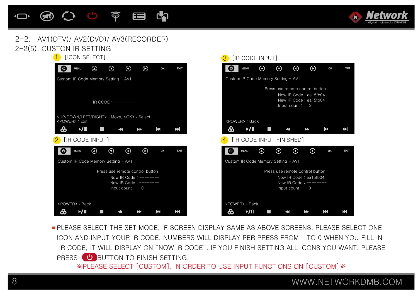

### 2-2(5). CUSTON IR SETTING 2-2. AV1(DTV)/ AV2(DVD)/ AV3(RECORDER)





**PLEASE SELECT THE SET MODE, IF SCREEN DISPLAY SAME AS ABOVE SCREENS. PLEASE SELECT ONE** ICON AND INPUT YOUR IR CODE. NUMBERS WILL DISPLAY PER PRESS FROM 1 TO 0 WHEN YOU FILL IN IR CODE, IT WILL DISPLAY ON "NOW IR CODE". IF YOU FINISH SETTING ALL ICONS YOU WANT. PLEASE PRESS **U** BUTTON TO FINISH SETTING.

**[IR CODE INPUT]** 

3

※PLEASE SELECT [CUSTOM], IN ORDER TO USE INPUT FUNCTIONS ON [CUSTOM]※

8 WWW.NETWORKDMB.COM

EТ

K

K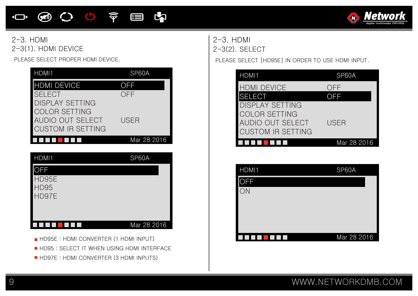### **めひじ 宇国内**  $\overline{\mathbf{C}}$



### 2-3. HDMI 2-3. HDMI 2-3(1). HDMI DEVICE

PLEASE SELECT PROPER HDMI DEVICE.

| HDMI1                    | SP60A       |
|--------------------------|-------------|
| <b>HDMI DEVICE</b>       | OFE         |
| <b>SELECT</b>            | OFF         |
| DISPLAY SETTING          |             |
| <b>COLOR SETTING</b>     |             |
| AUDIO OUT SELECT         | USFR        |
| <b>CUSTOM IR SETTING</b> |             |
|                          | Mar 28 2016 |

| HDMI1                                       | SP60A       |
|---------------------------------------------|-------------|
| <b>OFF</b><br>HD95E<br><b>HD95</b><br>HD97E |             |
|                                             | Mar 28 2016 |

- HD95E : HDMI CONVERTER (1 HDMI INPUT)
- **HD95 : SELECT IT WHEN USING HDMI INTERFACE**
- HD97E : HDMI CONVERTER (3 HDMI INPUTS)

2-3(2). SELECT

PLEASE SELECT [HD95E] IN ORDER TO USE HDMI INPUT.

| HDMI1                    | SP60A             |
|--------------------------|-------------------|
| <b>HDMI DEVICE</b>       | ( )トト             |
| <b>SELECT</b>            | $\bigcap_{i=1}^n$ |
| <b>DISPLAY SETTING</b>   |                   |
| <b>COLOR SETTING</b>     |                   |
| AUDIO OUT SELECT         | USER              |
| <b>CUSTOM IR SETTING</b> |                   |
|                          | Mar 28 2016       |

| HDMI1      | SP60A       |
|------------|-------------|
| <b>OFF</b> |             |
| ON         |             |
|            |             |
|            |             |
|            | Mar 28 2016 |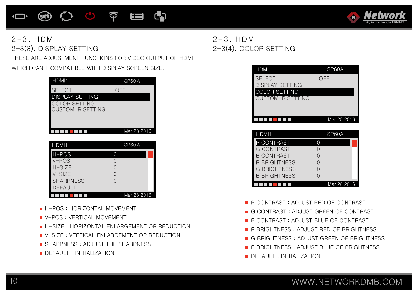### $\mathbf{C}$ **④ 〇 〇 〒 目**



### $2-3$  HDM I  $2-3$  HDM I 2-3(3). DISPLAY SETTING

THESE ARE ADJUSTMENT FUNCTIONS FOR VIDEO OUTPUT OF HDMI WHICH CAN'T COMPATIBLE WITH DISPLAY SCREEN SIZE.

| HDMI1                                            | SP60A         |
|--------------------------------------------------|---------------|
| <b>SELECT</b><br><b>DISPLAY SETTING</b>          | $\rightarrow$ |
| <b>COLOR SETTING</b><br><b>CUSTOM IR SETTING</b> |               |
|                                                  |               |
|                                                  | Mar 28 2016   |

| HDMI1            | SP60A       |
|------------------|-------------|
| $H-POS$          |             |
| $V - POS$        |             |
| $H-SIZE$         |             |
| $V-SIZE$         |             |
| <b>SHARPNESS</b> |             |
| <b>DEFAULT</b>   |             |
|                  | Mar 28 2016 |

- **H-POS : HORIZONTAL MOVEMENT**
- **U** V-POS : VERTICAL MOVEMENT
- **H-SIZE: HORIZONTAL ENLARGEMENT OR REDUCTION**
- **U** V-SIZE : VERTICAL ENLARGEMENT OR REDUCTION
- SHARPNESS: ADJUST THE SHARPNESS
- **DEFAULT : INITIALIZATION**

# 2-3(4). COLOR SETTING

| HDMI1                                                           | SP60A       |
|-----------------------------------------------------------------|-------------|
| <b>SELECT</b><br><b>DISPLAY SETTING</b><br><b>COLOR SETTING</b> | OFF         |
| <b>CUSTOM IR SETTING</b>                                        |             |
|                                                                 | Mar 28 2016 |
|                                                                 |             |
| HDMI1                                                           | SP60A       |
|                                                                 |             |

| <b>NUMI</b>         | <b>OF UVA</b> |
|---------------------|---------------|
| R CONTRAST          |               |
| <b>G CONTRAST</b>   |               |
| <b>B CONTRAST</b>   |               |
| <b>R BRIGHTNESS</b> |               |
| <b>G BRIGHTNESS</b> |               |
| <b>B BRIGHTNESS</b> |               |
|                     | Mar 28 2016   |

R CONTRAST : ADJUST RED OF CONTRAST

- G CONTRAST : ADJUST GREEN OF CONTRAST
- **B CONTRAST : ADJUST BLUE OF CONTRAST**
- **R BRIGHTNESS : ADJUST RED OF BRIGHTNESS**
- G BRIGHTNESS : ADJUST GREEN OF BRIGHTNESS
- **B** B BRIGHTNESS : ADJUST BLUE OF BRIGHTNESS
- **DEFAULT : INITIALIZATION**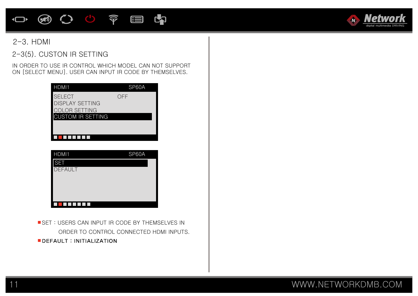### **④〇〇字目内**  $\Box$



### 2-3. HDMI

### 2-3(5). CUSTON IR SETTING

IN ORDER TO USE IR CONTROL WHICH MODEL CAN NOT SUPPORT ON [SELECT MENU]. USER CAN INPUT IR CODE BY THEMSELVES.

| HDMI1                                                                                       | SP60A |
|---------------------------------------------------------------------------------------------|-------|
| <b>SELECT</b><br><b>DISPLAY SETTING</b><br><b>COLOR SETTING</b><br><b>CUSTOM IR SETTING</b> | OFF   |
|                                                                                             |       |

| HDMI1          | SP60A |
|----------------|-------|
| <b>SET</b>     |       |
| <b>DEFAULT</b> |       |
|                |       |
|                |       |
|                |       |
|                |       |

**SET : USERS CAN INPUT IR CODE BY THEMSELVES IN**  ORDER TO CONTROL CONNECTED HDMI INPUTS. **DEFAULT: INITIALIZATION**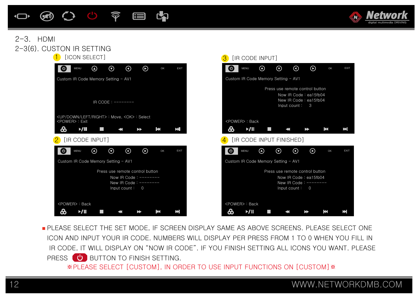



### 2-3(6). CUSTON IR SETTING  $2-3.$  HDMI



**PLEASE SELECT THE SET MODE. IF SCREEN DISPLAY SAME AS ABOVE SCREENS. PLEASE SELECT ONE** ICON AND INPUT YOUR IR CODE. NUMBERS WILL DISPLAY PER PRESS FROM 1 TO 0 WHEN YOU FILL IN IR CODE, IT WILL DISPLAY ON "NOW IR CODE". IF YOU FINISH SETTING ALL ICONS YOU WANT. PLEASE PRESS **b** BUTTON TO FINISH SETTING.

※PLEASE SELECT [CUSTOM], IN ORDER TO USE INPUT FUNCTIONS ON [CUSTOM]※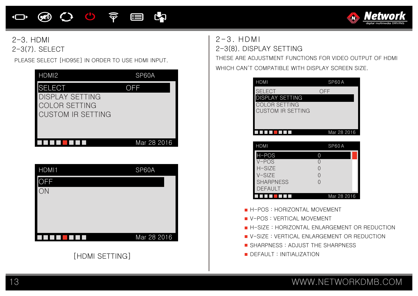### **④ 〇 〇 〒 目**



2-3. HDMI 2-3(7). SELECT

PLEASE SELECT [HD95E] IN ORDER TO USE HDMI INPUT.

| HDMI <sub>2</sub>                                                                    | SP60A       |
|--------------------------------------------------------------------------------------|-------------|
| SELECT<br><b>DISPLAY SETTING</b><br><b>COLOR SETTING</b><br><b>CUSTOM IR SETTING</b> | OFF         |
|                                                                                      | Mar 28 2016 |

| HDMI1 | SP60A       |
|-------|-------------|
| )FF   |             |
| ЛI    |             |
|       |             |
|       |             |
|       |             |
|       | Mar 28 2016 |

### [HDMI SETTING]

 $2-3$ . HDMI 2-3(8). DISPLAY SETTING

THESE ARE ADJUSTMENT FUNCTIONS FOR VIDEO OUTPUT OF HDMI WHICH CAN'T COMPATIBLE WITH DISPLAY SCREEN SIZE.

| <b>HDMI</b>                | SP60A       |
|----------------------------|-------------|
| <b>SELECT</b>              | OFF         |
| DISPLAY SETTING            |             |
| <b>COLOR SETTING</b>       |             |
| <b>CUSTOM IR SETTING</b>   |             |
|                            |             |
|                            |             |
|                            | Mar 28 2016 |
|                            |             |
| <b>HDMI</b>                | SP60A       |
| H-POS                      | 0           |
| $V - POS$                  | 0           |
| $H-SIZE$                   | $\Omega$    |
| $V-SIZF$                   | $\Omega$    |
| <b>SHARPNESS</b>           | $\Omega$    |
| <b>DEFAULT</b>             |             |
|                            | Mar 28 2016 |
|                            |             |
| H-POS: HORIZONTAL MOVEMENT |             |

- V-POS : VERTICAL MOVEMENT
- **H-SIZE : HORIZONTAL ENLARGEMENT OR REDUCTION**
- **U** V-SIZE : VERTICAL ENLARGEMENT OR REDUCTION
- SHARPNESS: ADJUST THE SHARPNESS
- DEFAULT : INITIALIZATION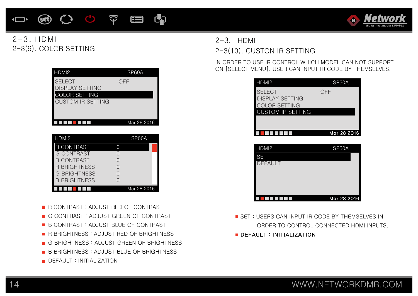### **④〇〇テ目内**  $\Box$



### $2-3$ . HDM 2-3(9). COLOR SETTING

| HDMI <sub>2</sub>    |   | SP60A       |
|----------------------|---|-------------|
| <b>SELECT</b>        |   | OFF         |
| DISPLAY SETTING      |   |             |
| <b>COLOR SETTING</b> |   |             |
| CUSTOM IR SFTTING    |   |             |
|                      |   |             |
|                      |   |             |
|                      |   | Mar 28 2016 |
|                      |   |             |
|                      |   |             |
| H <sub>DMI2</sub>    |   | SP60A       |
| <b>R CONTRAST</b>    | 0 |             |
| G CONTRAST           | Ω |             |
| <b>B CONTRAST</b>    | ∩ |             |
| R BRIGHTNESS         | ∩ |             |
| G BRIGHTNESS         | ∩ |             |
| <b>B BRIGHTNESS</b>  | ∩ |             |

- R CONTRAST : ADJUST RED OF CONTRAST
- G CONTRAST : ADJUST GREEN OF CONTRAST
- B CONTRAST : ADJUST BLUE OF CONTRAST
- R BRIGHTNESS : ADJUST RED OF BRIGHTNESS
- G BRIGHTNESS : ADJUST GREEN OF BRIGHTNESS
- **B** B BRIGHTNESS : ADJUST BLUE OF BRIGHTNESS
- **DEFAULT: INITIALIZATION**

### $2-3$  HDMI 2-3(10). CUSTON IR SETTING

IN ORDER TO USE IR CONTROL WHICH MODEL CAN NOT SUPPORT ON [SELECT MENU]. USER CAN INPUT IR CODE BY THEMSELVES.

| HDMI <sub>2</sub>        | SP60A       |
|--------------------------|-------------|
| <b>SELECT</b>            | OFF         |
| <b>DISPLAY SETTING</b>   |             |
| <b>COLOR SETTING</b>     |             |
| <b>CUSTOM IR SETTING</b> |             |
|                          |             |
|                          | Mar 28 2016 |
|                          |             |
| HDMI <sub>2</sub>        | SP60A       |
| SF.                      |             |
| <b>DEFAULT</b>           |             |

| <b>SET</b>     |             |
|----------------|-------------|
| <b>DEFAULT</b> |             |
|                |             |
|                |             |
|                |             |
|                |             |
|                | Mar 28 2016 |
|                |             |

SET : USERS CAN INPUT IR CODE BY THEMSELVES IN ORDER TO CONTROL CONNECTED HDMI INPUTS. DEFAULT: INITIALIZATION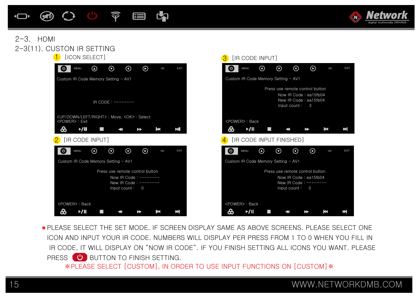



### 2-3(11). CUSTON IR SETTING  $2-3.$  HDMI



**PLEASE SELECT THE SET MODE. IF SCREEN DISPLAY SAME AS ABOVE SCREENS. PLEASE SELECT ONE** ICON AND INPUT YOUR IR CODE. NUMBERS WILL DISPLAY PER PRESS FROM 1 TO 0 WHEN YOU FILL IN IR CODE, IT WILL DISPLAY ON "NOW IR CODE". IF YOU FINISH SETTING ALL ICONS YOU WANT. PLEASE PRESS **b** BUTTON TO FINISH SETTING.

※PLEASE SELECT [CUSTOM], IN ORDER TO USE INPUT FUNCTIONS ON [CUSTOM]※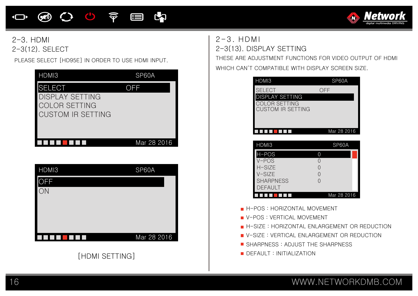### **④ 〇 〇 〒 目**



2-3. HDMI 2-3(12). SELECT

PLEASE SELECT [HD95E] IN ORDER TO USE HDMI INPUT.



| HDMI3      | SP60A       |
|------------|-------------|
| <b>OFF</b> |             |
| ON         |             |
|            |             |
|            |             |
|            | Mar 28 2016 |

# [HDMI SETTING]

 $2-3$ . HDMI 2-3(13). DISPLAY SETTING

THESE ARE ADJUSTMENT FUNCTIONS FOR VIDEO OUTPUT OF HDMI WHICH CAN'T COMPATIBLE WITH DISPLAY SCREEN SIZE.

| HDMI3                      | SP60A                                       |
|----------------------------|---------------------------------------------|
| <b>SELECT</b>              | <b>OFF</b>                                  |
| <b>DISPLAY SETTING</b>     |                                             |
| COLOR SETTING              |                                             |
| <b>CUSTOM IR SETTING</b>   |                                             |
|                            |                                             |
|                            | Mar 28 2016                                 |
|                            |                                             |
| HDMI3                      | SP60A                                       |
| H-POS                      | $\overline{0}$                              |
| $V - POS$                  | 0                                           |
| H-SIZE                     | 0                                           |
| V-SIZE                     | 0                                           |
| <b>SHARPNESS</b>           | $\Omega$                                    |
| <b>DEFAULT</b>             |                                             |
|                            | Mar 28 2016                                 |
| H-POS: HORIZONTAL MOVEMENT |                                             |
| V-POS: VERTICAL MOVEMENT   |                                             |
|                            |                                             |
|                            | H-SIZE: HORIZONTAL ENLARGEMENT OR REDUCTION |
|                            | V-SIZE : VERTICAL ENLARGEMENT OR REDUCTION  |

- SHARPNESS: ADJUST THE SHARPNESS
- **DEFAULT : INITIALIZATION**

 $\blacksquare$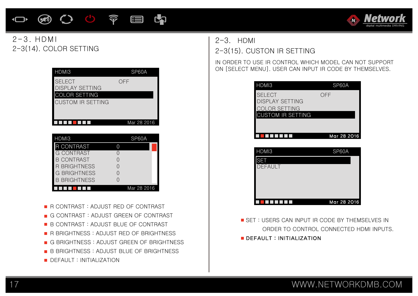# 17 WWW.NETWORKDMB.COM

### DEFAULT : INITIALIZATION

- **B** B BRIGHTNESS : ADJUST BLUE OF BRIGHTNESS
- 
- 
- G BRIGHTNESS : ADJUST GREEN OF BRIGHTNESS
- 
- **R BRIGHTNESS: ADJUST RED OF BRIGHTNESS**
- B CONTRAST : ADJUST BLUE OF CONTRAST
- G CONTRAST: ADJUST GREEN OF CONTRAST
- 
- 
- R CONTRAST : ADJUST RED OF CONTRAST

| CUSTUM IR SETTING   |             |  |
|---------------------|-------------|--|
|                     | Mar 28 2016 |  |
| HDMI3               | SP60A       |  |
| R CONTRAST          |             |  |
| G CONTRAST          |             |  |
| B CONTRAST          |             |  |
| R BRIGHTNESS        |             |  |
| <b>G BRIGHTNESS</b> |             |  |
| <b>B BRIGHTNESS</b> |             |  |
|                     | Mar 28 2016 |  |

| <b>SFIFCT</b>          | OFF |
|------------------------|-----|
| <b>DISPLAY SETTING</b> |     |
| <b>COLOR SETTING</b>   |     |
| CUSTOM IR SFTTING      |     |
|                        |     |
|                        |     |

HDMI3 SP60A

### $2-3$  HDMI 2-3(15). CUSTON IR SETTING

IN ORDER TO USE IR CONTROL WHICH MODEL CAN NOT SUPPORT ON [SELECT MENU]. USER CAN INPUT IR CODE BY THEMSELVES.

| HDMI3                    | SP60A       |
|--------------------------|-------------|
| <b>SELECT</b>            | OFF         |
| DISPLAY SETTING          |             |
| <b>COLOR SETTING</b>     |             |
| <b>CUSTOM IR SETTING</b> |             |
|                          |             |
|                          | Mar 28 2016 |
|                          |             |
|                          |             |
|                          |             |
| HDMI3                    | SP60A       |
| <b>SET</b>               |             |
| <b>DEFAULT</b>           |             |
|                          |             |

SET : USERS CAN INPUT IR CODE BY THEMSELVES IN ORDER TO CONTROL CONNECTED HDMI INPUTS.

DEFAULT: INITIALIZATION

FIFIT FIFIT Mar 28 2016

 $2-3$  HDM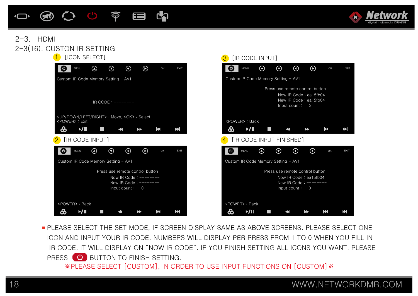



### 2-3(16). CUSTON IR SETTING  $2-3.$  HDMI



**PLEASE SELECT THE SET MODE. IF SCREEN DISPLAY SAME AS ABOVE SCREENS. PLEASE SELECT ONE** ICON AND INPUT YOUR IR CODE. NUMBERS WILL DISPLAY PER PRESS FROM 1 TO 0 WHEN YOU FILL IN IR CODE, IT WILL DISPLAY ON "NOW IR CODE". IF YOU FINISH SETTING ALL ICONS YOU WANT. PLEASE PRESS **b** BUTTON TO FINISH SETTING.

※PLEASE SELECT [CUSTOM], IN ORDER TO USE INPUT FUNCTIONS ON [CUSTOM]※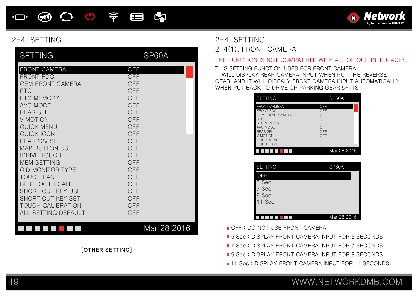### **E2**  $\bigcircled{\hspace{-2.3pt}}\longrightarrow$ 心 宇 **ieg**  $\bigcirc$



| <b>SETTING</b>                                                                                                                                                                                                                                                                                                                                                                                                                                                 | SP60A                                                                                                                                                                |
|----------------------------------------------------------------------------------------------------------------------------------------------------------------------------------------------------------------------------------------------------------------------------------------------------------------------------------------------------------------------------------------------------------------------------------------------------------------|----------------------------------------------------------------------------------------------------------------------------------------------------------------------|
| FRONT CAMERA<br><b>FRONT PDC</b><br><b>OEM FRONT CAMERA</b><br><b>RTC</b><br><b>RTC MEMORY</b><br><b>AVC MODE</b><br><b>REAR SEL</b><br>V MOTION<br><b>QUICK MENU</b><br>QUICK ICON<br><b>REAR 12V SEL</b><br><b>MAP BUTTON USE</b><br><b>IDRIVE TOUCH</b><br><b>MEM SETTING</b><br><b>CID MONITOR TYPE</b><br><b>TOUCH PANEL</b><br><b>BLUETOOTH CALL</b><br><b>SHORT CUT KEY USE</b><br>SHORT CUT KEY SET<br><b>TOUCH CALIBRATION</b><br>ALL SETTING DEFAULT | <b>OFF</b><br><b>OFF</b><br>OFF<br><b>OFF</b><br>OFF<br>OFF<br>OFF<br>OFF<br>OFF<br>OFF<br>OFF<br>OFF<br>OFF<br>OFF<br>OFF<br>OFF<br>OFF<br>OFF<br>OFF<br>OFF<br>OFF |
|                                                                                                                                                                                                                                                                                                                                                                                                                                                                | Mar 28 2016<br>[OTHER SETTING]                                                                                                                                       |

### 2-4. SETTING 2-4. SETTING 2-4(1). FRONT CAMERA

### THE FUNCTION IS NOT COMPATIBLE WITH ALL OF OUR INTERFACES.

THIS SETTING FUNCTION USES FOR FRONT CAMERA. IT WILL DISPLAY REAR CAMERA INPUT WHEN PUT THE REVERSE GEAR. AND IT WILL DISPALY FRONT CAMERA INPUT AUTOMATICALLY WHEN PUT BACK TO DRIVE OR PARKING GEAR 5-11S.

| <b>SETTING</b>                                                                                                                                                               | SP60A                                                              |
|------------------------------------------------------------------------------------------------------------------------------------------------------------------------------|--------------------------------------------------------------------|
| <b>FRONT CAMERA</b><br><b>FRONT PDC</b><br>OEM FRONT CAMERA<br><b>RTC</b><br><b>RTC MEMORY</b><br>AVC MODE<br><b>REAR SEL</b><br>V MOTION<br><b>QUICK MENU</b><br>QUICK ICON | OFF<br>OFF<br>OFF<br>OFF<br>OFF<br>OFF<br>OFF<br>OFF<br>OFF<br>OFF |
| l.<br>. .                                                                                                                                                                    | Mar 28 2016                                                        |
|                                                                                                                                                                              |                                                                    |
| <b>SETTING</b>                                                                                                                                                               | SP60A                                                              |
| λFΕ<br>5 Sec<br>7 Sec<br>9 Sec<br>11 Sec                                                                                                                                     |                                                                    |
|                                                                                                                                                                              | Mar 28 2016                                                        |

OFF : DO NOT USE FRONT CAMERA

- **5** Sec : DISPLAY FRONT CAMERA INPUT FOR 5 SECONDS
- **7** Sec : DISPLAY FRONT CAMERA INPUT FOR 7 SECONDS
- **9 Sec : DISPLAY FRONT CAMERA INPUT FOR 9 SECONDS**
- **11 Sec : DISPLAY FRONT CAMERA INPUT FOR 11 SECONDS**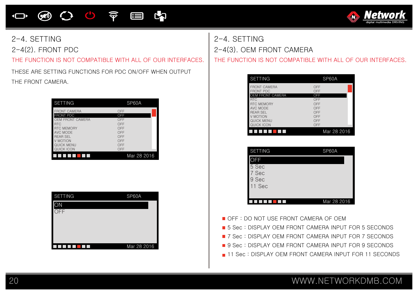# **OO O O O O E CO**



2-4. SETTING 2-4(2). FRONT PDC

THE FUNCTION IS NOT COMPATIBLE WITH ALL OF OUR INTERFACES. THE FUNCTION IS NOT COMPATIBLE WITH ALL OF OUR INTERFACES.

THESE ARE SETTING FUNCTIONS FOR PDC ON/OFF WHEN OUTPUT THE FRONT CAMERA.

| <b>SETTING</b>      | SP60A       |
|---------------------|-------------|
| <b>FRONT CAMERA</b> | OFF         |
| <b>FRONT PDC</b>    | OFF         |
| OEM FRONT CAMERA    | OFF         |
| <b>RTC</b>          | OFF         |
| <b>RTC MEMORY</b>   | OFF         |
| AVC MODE            | OFF         |
| <b>REAR SEL</b>     | OFF         |
| V MOTION            | OFF         |
| QUICK MENU          | OFF         |
| QUICK ICON          | OFF         |
|                     | Mar 28 2016 |

| <b>SETTING</b>            | SP60A       |
|---------------------------|-------------|
| ЭŃ                        |             |
| $\overline{\mathsf{OFF}}$ |             |
|                           |             |
|                           |             |
|                           | Mar 28 2016 |

2-4. SETTING 2-4(3). OEM FRONT CAMERA

| <b>SETTING</b>                          | SP60A       |
|-----------------------------------------|-------------|
| <b>FRONT CAMERA</b><br><b>FRONT PDC</b> | OFF<br>OFF  |
| <b>OEM FRONT CAMERA</b>                 | OFF         |
| <b>RTC</b>                              | OFF         |
| <b>RTC MEMORY</b>                       | OFF         |
| AVC MODE                                | OFF         |
| <b>REAR SEL</b>                         | OFF         |
| V MOTION                                | OFF         |
| QUICK MENU                              | OFF         |
| QUICK ICON                              | OFF         |
|                                         | Mar 28 2016 |

| <b>SETTING</b> | SP60A       |
|----------------|-------------|
| <b>DEE</b>     |             |
| 5 Sec          |             |
| 7 Sec          |             |
| 9 Sec          |             |
| 11 Sec         |             |
|                |             |
|                | Mar 28 2016 |

- OFF : DO NOT USE FRONT CAMERA OF OFM
- **5** Sec : DISPLAY OEM FRONT CAMERA INPUT FOR 5 SECONDS
- **7** Sec : DISPLAY OEM FRONT CAMERA INPUT FOR 7 SECONDS
- **9 Sec : DISPLAY OEM FRONT CAMERA INPUT FOR 9 SECONDS**
- 11 Sec : DISPLAY OEM FRONT CAMERA INPUT FOR 11 SECONDS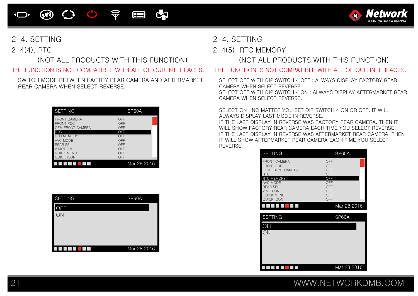### C.  $\circledast$  $\bigcirc$  $\widehat{\widehat{\mathbf{Y}}}$ E  $\Box$



2-4(4). RTC

(NOT ALL PRODUCTS WITH THIS FUNCTION)

SWITCH MODE BETWEEN FACTRY REAR CAMERA AND AFTERMARKET REAR CAMERA WHEN SELECT REVERSE.

| <b>SETTING</b>      | SP60A              |
|---------------------|--------------------|
| <b>FRONT CAMERA</b> | OFF                |
| <b>FRONT PDC</b>    | OFF                |
| OEM FRONT CAMERA    | OFF                |
| <b>RTC</b>          | OFF                |
| <b>RTC MEMORY</b>   | OFF                |
| AVC MODE            | OFF                |
| <b>REAR SEL</b>     | OFF                |
| V MOTION            | OFF                |
| <b>QUICK MENU</b>   | OFF                |
| QUICK ICON          | OFF<br>Mar 28 2016 |

| <b>SETTING</b> | SP60A       |
|----------------|-------------|
| OFF            |             |
| ON             |             |
|                |             |
|                |             |
|                |             |
|                | Mar 28 2016 |

# 2-4. SETTING 2-4. SETTING

2-4(5). RTC MEMORY

(NOT ALL PRODUCTS WITH THIS FUNCTION)

THE FUNCTION IS NOT COMPATIBLE WITH ALL OF OUR INTERFACES. | THE FUNCTION IS NOT COMPATIBLE WITH ALL OF OUR INTERFACES.

SELECT OFF WITH DIP SWITCH 4 OFF : ALWAYS DISPLAY FACTORY REAR CAMERA WHEN SELECT REVERSE.

SELECT OFF WITH DIP SWITCH 4 ON : ALWAYS DISPLAY AFTERMARKET REAR CAMERA WHEN SELECT REVERSE.

SELECT ON : NO MATTER YOU SET DIP SWITCH 4 ON OR OFF, IT WILL ALWAYS DISPLAY LAST MODE IN REVERSE.

IF THE LAST DISPLAY IN REVERSE WAS FACTORY REAR CAMERA, THEN IT WILL SHOW FACTORY REAR CAMERA EACH TIME YOU SELECT REVERSE. IF THE LAST DISPLAY IN REVERSE WAS AFTERMARKET REAR CAMERA, THEN IT WILL SHOW AFTERMARKET REAR CAMERA EACH TIME YOU SELECT REVERSE.

| <b>SETTING</b>                              | SP60A       |
|---------------------------------------------|-------------|
| <b>FRONT CAMERA</b>                         | OFF         |
| <b>FRONT PDC</b><br><b>OEM FRONT CAMERA</b> | OFF<br>OFF  |
| <b>RTC</b>                                  | OFF         |
| RTC MEMORY<br>AVC MODE                      | OFF<br>OFF  |
| <b>REAR SEL</b>                             | OFF         |
| V MOTION<br><b>QUICK MENU</b>               | OFF<br>OFF  |
| <b>QUICK ICON</b>                           | OFF         |
|                                             | Mar 28 2016 |
| <b>SETTING</b>                              | SP60A       |
| <b>DFF</b>                                  |             |
| ON                                          |             |
|                                             |             |
|                                             |             |
|                                             |             |
|                                             |             |
|                                             |             |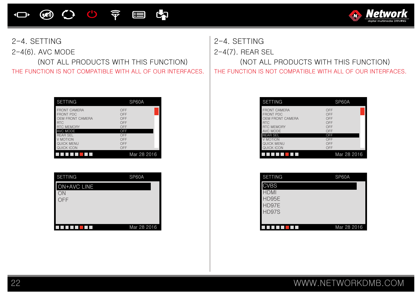心 宇 **E** E  $\circledast$  $\overline{\mathbf{C}}$ 



2-4(6). AVC MODE

THE FUNCTION IS NOT COMPATIBLE WITH ALL OF OUR INTERFACES. | THE FUNCTION IS NOT COMPATIBLE WITH ALL OF OUR INTERFACES. (NOT ALL PRODUCTS WITH THIS FUNCTION)

| <b>SETTING</b>                                                                                 | SP60A                           |
|------------------------------------------------------------------------------------------------|---------------------------------|
| <b>FRONT CAMERA</b><br><b>FRONT PDC</b><br>OEM FRONT CAMERA<br><b>RTC</b><br><b>RTC MEMORY</b> | OFF<br>OFF<br>OFF<br>OFF<br>OFF |
| AVC MODE                                                                                       | OFF                             |
| <b>REAR SEL</b><br>V MOTION<br>QUICK MENU                                                      | OFF<br>OFF<br>OFF               |
| QUICK ICON                                                                                     | OFF                             |
|                                                                                                | Mar 28 2016                     |

| <b>SETTING</b> | SP60A       |
|----------------|-------------|
| ON+AVC LINE    |             |
| ON<br>OFF      |             |
|                |             |
|                |             |
|                | Mar 28 2016 |

2-4. SETTING 2-4. SETTING 2-4(7). REAR SEL

(NOT ALL PRODUCTS WITH THIS FUNCTION)

| <b>SETTING</b>                                                                                             | SP60A                                  |
|------------------------------------------------------------------------------------------------------------|----------------------------------------|
| <b>FRONT CAMERA</b><br><b>FRONT PDC</b><br>OEM FRONT CAMERA<br><b>RTC</b><br><b>RTC MEMORY</b><br>AVC MODE | OFF<br>OFF<br>OFF<br>OFF<br>OFF<br>OFF |
| <b>REAR SEL</b>                                                                                            | OFF                                    |
| V MOTION                                                                                                   | OFF                                    |
| QUICK MENU                                                                                                 | OFF                                    |
| QUICK ICON                                                                                                 | OFF                                    |
|                                                                                                            | Mar 28 2016                            |

| <b>SETTING</b> | SP60A       |
|----------------|-------------|
| <b>CVBS</b>    |             |
| HDMI           |             |
| HD95E          |             |
| HD97E          |             |
| HD97S          |             |
|                |             |
|                | Mar 28 2016 |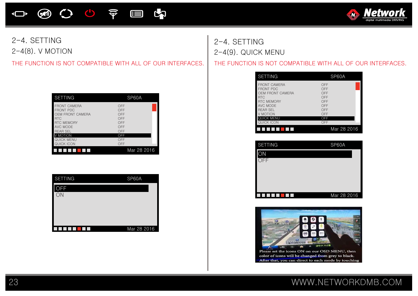

### 2-4. SETTING 2-4(8). V MOTION

| <b>SETTING</b>      | SP60A       |
|---------------------|-------------|
| <b>FRONT CAMERA</b> | OFF         |
| <b>FRONT PDC</b>    | OFF         |
| OEM FRONT CAMERA    | OFF         |
| <b>RTC</b>          | OFF         |
| <b>RTC MEMORY</b>   | OFF         |
| AVC MODE            | OFF         |
| <b>REAR SEL</b>     | OFF         |
| V MOTION            | OFF         |
| QUICK MENU          | OFF         |
| QUICK ICON          | OFF         |
|                     | Mar 28 2016 |

| <b>SETTING</b> | SP60A       |
|----------------|-------------|
| <b>OFF</b>     |             |
| ON             |             |
|                |             |
|                |             |
|                | Mar 28 2016 |

2-4. SETTING 2-4(9). QUICK MENU

THE FUNCTION IS NOT COMPATIBLE WITH ALL OF OUR INTERFACES. THE FUNCTION IS NOT COMPATIBLE WITH ALL OF OUR INTERFACES.

| <b>SETTING</b>                                                                                                                                                 | SP60A                                                       |
|----------------------------------------------------------------------------------------------------------------------------------------------------------------|-------------------------------------------------------------|
| <b>FRONT CAMERA</b><br><b>FRONT PDC</b><br>OEM FRONT CAMERA<br><b>RTC</b><br><b>RTC MEMORY</b><br>AVC MODE<br><b>REAR SEL</b><br>V MOTION<br><b>QUICK MENU</b> | OFF<br>OFF<br>OFF<br>OFF<br>OFF<br>OFF<br>OFF<br>OFF<br>OFF |
| QUICK ICON                                                                                                                                                     | OFF                                                         |
|                                                                                                                                                                | Mar 28 2016                                                 |

| <b>SETTING</b> | SP60A       |
|----------------|-------------|
| ЭN             |             |
| DFF            |             |
|                |             |
|                |             |
|                |             |
|                | Mar 28 2016 |

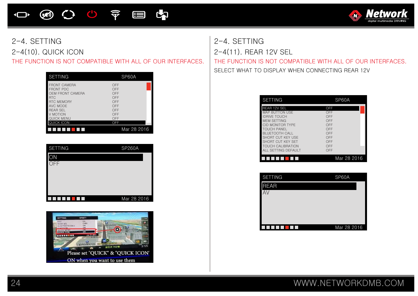

# 2-4. SETTING 2-4. SETTING

THE FUNCTION IS NOT COMPATIBLE WITH ALL OF OUR INTERFACES. THE FUNCTION IS NOT COMPATIBLE WITH ALL OF OUR INTERFACES.

| <b>SETTING</b>                                                                                                                                                        | SP60A                                                              |
|-----------------------------------------------------------------------------------------------------------------------------------------------------------------------|--------------------------------------------------------------------|
| <b>FRONT CAMERA</b><br><b>FRONT PDC</b><br>OEM FRONT CAMERA<br><b>RTC</b><br><b>RTC MEMORY</b><br>AVC MODE<br><b>REAR SEL</b><br>V MOTION<br>QUICK MENU<br>JUICK ICON | OFF<br>OFF<br>OFF<br>OFF<br>OFF<br>OFF<br>OFF<br>OFF<br>OFF<br>OFF |
|                                                                                                                                                                       | Mar 28 2016                                                        |

| <b>SETTING</b> | <b>SP260A</b> |
|----------------|---------------|
| ЭN             |               |
| OFF            |               |
|                |               |
|                |               |
|                |               |
|                | Mar 28 2016   |



2-4(10). QUICK ICON 2-4(11). REAR 12V SEL SELECT WHAT TO DISPLAY WHEN CONNECTING REAR 12V

| <b>SETTING</b>                                                                                                                                                                                                                              | SP60A                                                                     |
|---------------------------------------------------------------------------------------------------------------------------------------------------------------------------------------------------------------------------------------------|---------------------------------------------------------------------------|
| REAR 12V SEL<br><b>MAP BUTTON USE</b><br><b>IDRIVE TOUCH</b><br><b>MEM SETTING</b><br>CID MONITOR TYPE<br>TOUCH PANEL<br><b>BLUETOOTH CALL</b><br>SHORT CUT KEY USE<br>SHORT CUT KEY SET<br><b>TOUCH CALIBRATION</b><br>ALL SETTING DEFAULT | OFF<br>OFF<br>OFF<br>OFF<br>OFF<br>OFF<br>OFF<br>OFF<br>OFF<br>OFF<br>OFF |
|                                                                                                                                                                                                                                             | Mar 28 2016                                                               |

| <b>SETTING</b> | SP60A       |
|----------------|-------------|
| <b>REAR</b>    |             |
| ΑV             |             |
|                |             |
|                |             |
|                |             |
|                | Mar 28 2016 |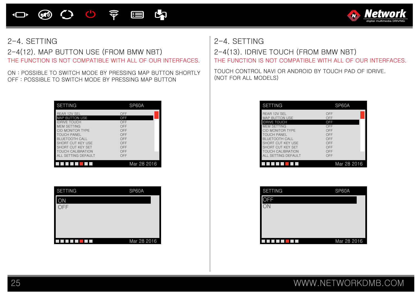00 京 E **E**  $\circledast$  $\Box$ 



THE FUNCTION IS NOT COMPATIBLE WITH ALL OF OUR INTERFACES. | THE FUNCTION IS NOT COMPATIBLE WITH ALL OF OUR INTERFACES. 2-4(12). MAP BUTTON USE (FROM BMW NBT) 2-4(13). IDRIVE TOUCH (FROM BMW NBT)

ON : POSSIBLE TO SWITCH MODE BY PRESSING MAP BUTTON SHORTLY OFF : POSSIBLE TO SWITCH MODE BY PRESSING MAP BUTTON

| SETTING                                                                                                                                                                                                                                            | SP60A                                                                     |
|----------------------------------------------------------------------------------------------------------------------------------------------------------------------------------------------------------------------------------------------------|---------------------------------------------------------------------------|
| <b>REAR 12V SEL</b><br><b>MAP BUTTON USE</b><br><b>IDRIVE TOUCH</b><br><b>MEM SETTING</b><br>CID MONITOR TYPE<br><b>TOUCH PANEL</b><br>BLUETOOTH CALL<br>SHORT CUT KEY USE<br>SHORT CUT KEY SET<br><b>TOUCH CALIBRATION</b><br>ALL SETTING DEFAULT | OFF<br>OFF<br>OFF<br>OFF<br>OFF<br>OFF<br>OFF<br>OFF<br>OFF<br>OFF<br>OFF |
|                                                                                                                                                                                                                                                    | Mar 28 2016                                                               |

| <b>SETTING</b> | SP60A       |
|----------------|-------------|
| ON             |             |
| OFF            |             |
|                |             |
|                |             |
|                |             |
|                | Mar 28 2016 |

### 2-4. SETTING 2-4. SETTING

TOUCH CONTROL NAVI OR ANDROID BY TOUCH PAD OF IDRIVE. (NOT FOR ALL MODELS)

| <b>SETTING</b>                                                                                                                                                                                                                              | SP60A                                                                     |
|---------------------------------------------------------------------------------------------------------------------------------------------------------------------------------------------------------------------------------------------|---------------------------------------------------------------------------|
| REAR 12V SEL<br><b>MAP BUTTON USE</b><br><b>IDRIVE TOUCH</b><br><b>MEM SETTING</b><br>CID MONITOR TYPE<br>TOUCH PANEL<br><b>BLUETOOTH CALL</b><br>SHORT CUT KEY USE<br>SHORT CUT KEY SET<br><b>TOUCH CALIBRATION</b><br>ALL SETTING DEFAULT | OFF<br>OFF<br>OFF<br>OFF<br>OFF<br>OFF<br>OFF<br>OFF<br>OFF<br>OFF<br>OFF |
|                                                                                                                                                                                                                                             | Mar 28 2016                                                               |

| <b>SETTING</b> | SP60A       |
|----------------|-------------|
| OFF            |             |
|                |             |
|                |             |
|                |             |
|                |             |
|                | Mar 28 2016 |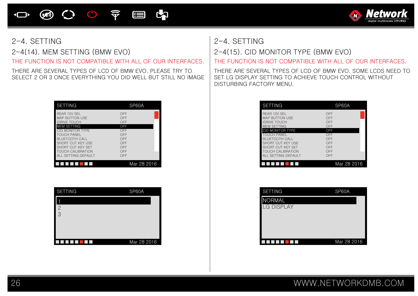

THERE ARE SEVERAL TYPES OF LCD OF BMW EVO. PLEASE TRY TO SELECT 2 OR 3 ONCE EVERYTHING YOU DID WELL BUT STILL NO IMAGE

| REAR 12V SEL                                    | OFF                       |
|-------------------------------------------------|---------------------------|
| <b>MAP BUTTON USE</b>                           | OFF                       |
| <b>IDRIVE TOUCH</b>                             | OFF                       |
| <b>MEM SETTING</b>                              | OFF                       |
| CID MONITOR TYPE                                | OFF                       |
| <b>TOUCH PANEL</b>                              | OFF                       |
| BLUETOOTH CALL                                  | OFF                       |
| SHORT CUT KEY USE                               | OFF                       |
| SHORT CUT KEY SET                               | OFF                       |
| <b>TOUCH CALIBRATION</b><br>ALL SETTING DEFAULT | OFF<br>OFF<br>Mar 28 2016 |

| <b>SETTING</b> | SP60A       |
|----------------|-------------|
|                |             |
| $\overline{2}$ |             |
| 3              |             |
|                |             |
|                |             |
|                |             |
|                | Mar 28 2016 |

### 2-4. SETTING 2-4. SETTING

THE FUNCTION IS NOT COMPATIBLE WITH ALL OF OUR INTERFACES. THE FUNCTION IS NOT COMPATIBLE WITH ALL OF OUR INTERFACES. 2-4(14). MEM SETTING (BMW EVO) 2-4(15). CID MONITOR TYPE (BMW EVO)

THERE ARE SEVERAL TYPES OF LCD OF BMW EVO. SOME LCDS NEED TO SET LG DISPLAY SETTING TO ACHIEVE TOUCH CONTROL WITHOUT DISTURBING FACTORY MENU.

| <b>SETTING</b>                                                                                                                                                                                                                                            | SP60A                                                                     |
|-----------------------------------------------------------------------------------------------------------------------------------------------------------------------------------------------------------------------------------------------------------|---------------------------------------------------------------------------|
| <b>REAR 12V SEL</b><br><b>MAP BUTTON USE</b><br><b>IDRIVE TOUCH</b><br><b>MEM SETTING</b><br>CID MONITOR TYPE<br><b>TOUCH PANEL</b><br><b>BLUETOOTH CALL</b><br>SHORT CUT KEY USE<br>SHORT CUT KEY SET<br><b>TOUCH CALIBRATION</b><br>ALL SETTING DEFAULT | OFF<br>OFF<br>OFF<br>OFF<br>OFF<br>OFF<br>OFF<br>OFF<br>OFF<br>OFF<br>OFF |
|                                                                                                                                                                                                                                                           | Mar 28 2016                                                               |

| <b>SETTING</b>    | SP60A       |
|-------------------|-------------|
| <b>NORMAL</b>     |             |
| <b>LG DISPLAY</b> |             |
|                   |             |
|                   |             |
|                   |             |
|                   | Mar 28 2016 |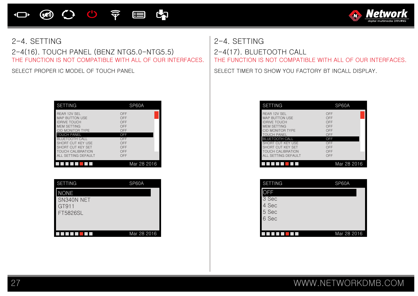**④ 〇 〇 〒 目 内**  $\overline{\mathbf{C}}$ 



2-4(16). TOUCH PANEL (BENZ NTG5.0-NTG5.5) 2-4(17). BLUETOOTH CALL

| <b>SETTING</b>                                                                                                                                                                                                                                     | SP60A                                                                     |
|----------------------------------------------------------------------------------------------------------------------------------------------------------------------------------------------------------------------------------------------------|---------------------------------------------------------------------------|
| <b>REAR 12V SEL</b><br><b>MAP BUTTON USE</b><br><b>IDBIVE TOUCH</b><br>MFM SETTING<br>CID MONITOR TYPE<br><b>TOUCH PANEL</b><br><b>BLUETOOTH CALL</b><br>SHORT CUT KEY USE<br>SHORT CUT KEY SET<br><b>TOUCH CALIBRATION</b><br>ALL SETTING DEFAULT | OFF<br>OFF<br>OFF<br>OFF<br>OFF<br>OFF<br>OFF<br>OFF<br>OFF<br>OFF<br>OFF |
|                                                                                                                                                                                                                                                    | Mar 28 2016                                                               |

| <b>SETTING</b>                                 | SP60A       |
|------------------------------------------------|-------------|
| <b>NONE</b><br>SN340N NET<br>GT911<br>FT5826SL |             |
|                                                | Mar 28 2016 |

# THE FUNCTION IS NOT COMPATIBLE WITH ALL OF OUR INTERFACES. THE FUNCTION IS NOT COMPATIBLE WITH ALL OF OUR INTERFACES. 2-4. SETTING 2-4. SETTING

SELECT PROPER IC MODEL OF TOUCH PANEL SELECT TIMER TO SHOW YOU FACTORY BT INCALL DISPLAY.

| <b>SETTING</b>                                                                                                                                                                                                                       | SP60A                                                                     |
|--------------------------------------------------------------------------------------------------------------------------------------------------------------------------------------------------------------------------------------|---------------------------------------------------------------------------|
| REAR 12V SEL<br><b>MAP BUTTON USE</b><br><b>IDRIVE TOUCH</b><br>MFM SETTING<br>CID MONITOR TYPE<br><b>TOUCH PANEL</b><br><b>BLUETOOTH CALL</b><br>SHORT CUT KEY USE<br>SHORT CUT KEY SET<br>TOUCH CALIBRATION<br>ALL SETTING DEFAULT | OFF<br>OFF<br>OFF<br>OFF<br>OFF<br>OFF<br>OFF<br>OFF<br>OFF<br>OFF<br>OFF |
|                                                                                                                                                                                                                                      | Mar 28 2016                                                               |

| <b>SETTING</b> | SP60A       |
|----------------|-------------|
| <b>OFF</b>     |             |
| 3 Sec          |             |
| 4 Sec          |             |
| 5 Sec          |             |
| 6 Sec          |             |
|                |             |
|                | Mar 28 2016 |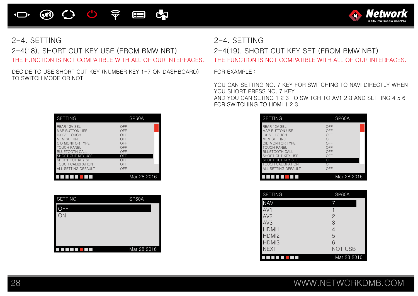

2-4(18). SHORT CUT KEY USE (FROM BMW NBT) 2-4(19). SHORT CUT KEY SET (FROM BMW NBT)

DECIDE TO USE SHORT CUT KEY (NUMBER KEY 1-7 ON DASHBOARD) TO SWITCH MODE OR NOT

| <b>SETTING</b>           | SP60A       |
|--------------------------|-------------|
| <b>REAR 12V SEL</b>      | OFF         |
| <b>MAP BUTTON USE</b>    | OFF         |
| <b>IDRIVE TOUCH</b>      | OFF         |
| <b>MEM SETTING</b>       | OFF         |
| CID MONITOR TYPE         | OFF         |
| <b>TOUCH PANEL</b>       | OFF         |
| <b>BLUETOOTH CALL</b>    | OFF         |
| SHORT CUT KEY USE        | OFF         |
| SHORT CUT KEY SET        | OFF         |
| <b>TOUCH CALIBRATION</b> | OFF         |
| ALL SETTING DEFAULT      | OFF         |
|                          | Mar 28 2016 |

| <b>SETTING</b> | SP60A       |
|----------------|-------------|
| FF             |             |
| ON             |             |
|                |             |
|                |             |
|                |             |
|                | Mar 28 2016 |

2-4. SETTING 2-4. SETTING

THE FUNCTION IS NOT COMPATIBLE WITH ALL OF OUR INTERFACES. THE FUNCTION IS NOT COMPATIBLE WITH ALL OF OUR INTERFACES.

FOR EXAMPLE :

YOU CAN SETTING NO. 7 KEY FOR SWITCHING TO NAVI DIRECTLY WHEN YOU SHORT PRESS NO. 7 KEY AND YOU CAN SETING 1 2 3 TO SWITCH TO AV1 2 3 AND SETTING 4 5 6 FOR SWITCHING TO HDMI 1 2 3

| <b>SETTING</b>                                                                                                                                                                                                                       | SP60A                                                                     |
|--------------------------------------------------------------------------------------------------------------------------------------------------------------------------------------------------------------------------------------|---------------------------------------------------------------------------|
| REAR 12V SEL<br><b>MAP BUTTON USE</b><br><b>IDRIVE TOUCH</b><br><b>MEM SETTING</b><br>CID MONITOR TYPE<br>TOUCH PANEL<br><b>BLUETOOTH CALL</b><br>SHORT CUT KEY USE<br>SHORT CUT KEY SET<br>TOUCH CALIBRATION<br>ALL SETTING DEFAULT | OFF<br>OFF<br>OFF<br>OFF<br>OFF<br>OFF<br>OFF<br>OFF<br>OFF<br>OFF<br>OFF |
|                                                                                                                                                                                                                                      | Mar 28 2016                                                               |

| <b>SETTING</b>    | SP60A       |
|-------------------|-------------|
| <b>NAVI</b>       |             |
| AV1               |             |
| AV2               | 2           |
| AV <sub>3</sub>   | 3           |
| HDMI1             | 4           |
| HDMI <sub>2</sub> | 5           |
| HDMI3             | 6           |
| <b>NEXT</b>       | NOT USB     |
|                   | Mar 28 2016 |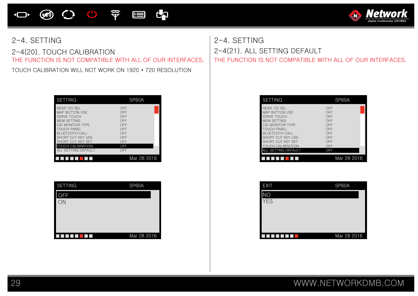

 $\overline{\mathbf{C}}$ 

### 2-4(20). TOUCH CALIBRATION

TOUCH CALIBRATION WILL NOT WORK ON 1920 \* 720 RESOLUTION

**④ 〇 〇 〒 目 内** 

| <b>SETTING</b>                                                                                                                                                                                                                              | SP60A                                                                     |
|---------------------------------------------------------------------------------------------------------------------------------------------------------------------------------------------------------------------------------------------|---------------------------------------------------------------------------|
| REAR 12V SEL<br><b>MAP BUTTON USE</b><br><b>IDRIVE TOUCH</b><br><b>MEM SETTING</b><br>CID MONITOR TYPE<br><b>TOUCH PANEL</b><br><b>BLUETOOTH CALL</b><br>SHORT CUT KEY USE<br>SHORT CUT KEY SET<br>TOUCH CALIBRATION<br>ALL SETTING DEFAULT | OFF<br>OFF<br>OFF<br>OFF<br>OFF<br>OFF<br>OFF<br>OFF<br>OFF<br>OFF<br>OFF |
|                                                                                                                                                                                                                                             | Mar 28 2016                                                               |

| <b>SETTING</b> | SP60A       |
|----------------|-------------|
| )FF            |             |
| ON             |             |
|                |             |
|                |             |
|                |             |
|                | Mar 28 2016 |

THE FUNCTION IS NOT COMPATIBLE WITH ALL OF OUR INTERFACES. THE FUNCTION IS NOT COMPATIBLE WITH ALL OF OUR INTERFACES. 2-4. SETTING 2-4(21). ALL SETTING DEFAULT

**A** 

Nef

| <b>SETTING</b>                                                                                                                                                                                                                              | SP60A                                                                     |
|---------------------------------------------------------------------------------------------------------------------------------------------------------------------------------------------------------------------------------------------|---------------------------------------------------------------------------|
| REAR 12V SEL<br><b>MAP BUTTON USE</b><br><b>IDRIVE TOUCH</b><br>MFM SETTING<br>CID MONITOR TYPE<br><b>TOUCH PANEL</b><br><b>BLUETOOTH CALL</b><br>SHORT CUT KEY USE<br>SHORT CUT KEY SET<br><b>TOUCH CALIBRATION</b><br>ALL SETTING DEFAULT | OFF<br>OFF<br>OFF<br>OFF<br>OFF<br>OFF<br>OFF<br>OFF<br>OFF<br>OFF<br>OFF |
|                                                                                                                                                                                                                                             | Mar 28 2016                                                               |

| <b>EXIT</b> | SP60A       |
|-------------|-------------|
|             |             |
| <b>YES</b>  |             |
|             |             |
|             |             |
|             |             |
|             | Mar 28 2016 |

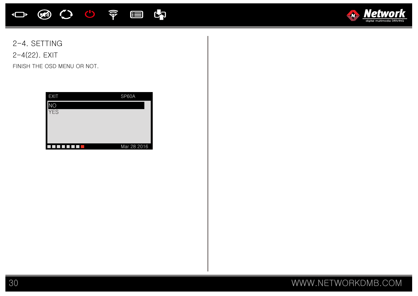



2-4. SETTING 2-4(22). EXIT

FINISH THE OSD MENU OR NOT.

| <b>EXIT</b> | SP60A       |
|-------------|-------------|
| IС          |             |
| <b>YES</b>  |             |
|             |             |
|             |             |
|             |             |
|             | Mar 28 2016 |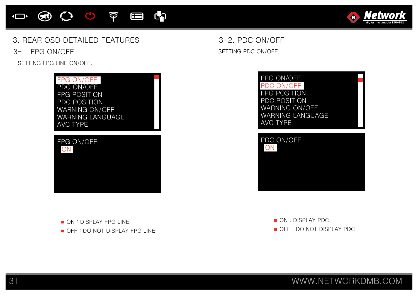### 31 WWW.NETWORKDMB.COM







3. REAR OSD DETAILED FEATURES

3-1. FPG ON/OFF

SETTING FPG LINE ON/OFF.

PDC ON/OFF FPG POSITION PDC POSITION WARNING ON/OFF WARNING LANGUAGE

FPG ON/OFF

10 9 0 0 0 0 目内

AVC TYPE

ON

FPG ON/OFF



SETTING PDC ON/OFF. 3-2. PDC ON/OFF



ON : DISPLAY PDC OFF : DO NOT DISPLAY PDC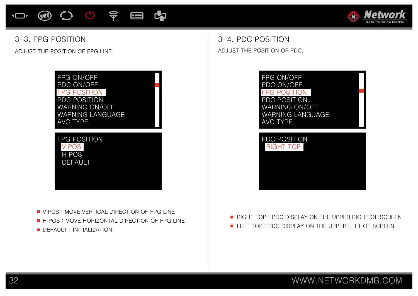



### 3-3. FPG POSITION

ADJUST THE POSITION OF FPG LINE.



**V POS: MOVE VERTICAL DIRECTION OF FPG LINE** H POS : MOVE HORIZONTAL DIRECTION OF FPG LINE **DEFAULT : INITIALIZATION** 

ADJUST THE POSITION OF PDC. 3-4. PDC POSITION



RIGHT TOP : PDC DISPLAY ON THE UPPER RIGHT OF SCREEN LEFT TOP : PDC DISPLAY ON THE UPPER LEFT OF SCREEN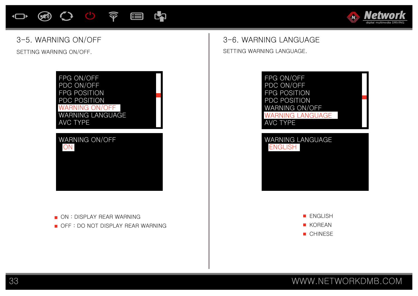# **④ 〇 〇 〒 目 内**



### 3-5. WARNING ON/OFF

SETTING WARNING ON/OFF.



### **ON : DISPLAY REAR WARNING**

OFF : DO NOT DISPLAY REAR WARNING

# 3-6. WARNING LANGUAGE

SETTING WARNING LANGUAGE.



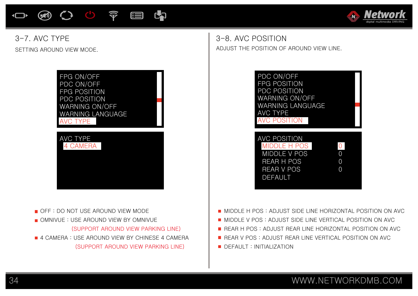



### SETTING AROUND VIEW MODE. 3-7. AVC TYPE



 (SUPPORT AROUND VIEW PARKING LINE) **4 CAMERA : USE AROUND VIEW BY CHINESE 4 CAMERA** (SUPPORT AROUND VIEW PARKING LINE)

ADJUST THE POSITION OF AROUND VIEW LINE. 3-8. AVC POSITION



MIDDLE H POS : ADJUST SIDE LINE HORIZONTAL POSITION ON AVC

- **MIDDLE V POS : ADJUST SIDE LINE VERTICAL POSITION ON AVC**
- **REAR H POS : ADJUST REAR LINE HORIZONTAL POSITION ON AVC**
- REAR V POS : ADJUST REAR LINE VERTICAL POSITION ON AVC
- **DEFAULT : INITIALIZATION**

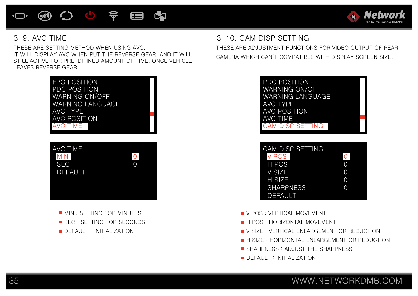



### 3-9. AVC TIME

THESE ARE SETTING METHOD WHEN USING AVC. IT WILL DISPLAY AVC WHEN PUT THE REVERSE GEAR, AND IT WILL STILL ACTIVE FOR PRE-DIFINED AMOUNT OF TIME, ONCE VEHICLE LEAVES REVERSE GEAR..



**MIN : SETTING FOR MINUTES** SEC : SETTING FOR SECONDS **DEFAULT : INITIALIZATION** 

3-10. CAM DISP SETTING

THESE ARE ADJUSTMENT FUNCTIONS FOR VIDEO OUTPUT OF REAR CAMERA WHICH CAN'T COMPATIBLE WITH DISPLAY SCREEN SIZE.



| <b>CAM DISP SETTING</b> |          |
|-------------------------|----------|
| <b>V POS</b>            | $\Omega$ |
| H POS                   |          |
| V SIZE                  |          |
| H SIZE                  | Ω        |
| <b>SHARPNESS</b>        |          |
| DEFAULT                 |          |

- **V** POS : VERTICAL MOVEMENT
- **H** H POS : HORIZONTAL MOVEMENT
- **U** V SIZE : VERTICAL ENLARGEMENT OR REDUCTION
- **H** H SIZE: HORIZONTAL ENLARGEMENT OR REDUCTION
- SHARPNESS: ADJUST THE SHARPNESS
- DEFAULT : INITIALIZATION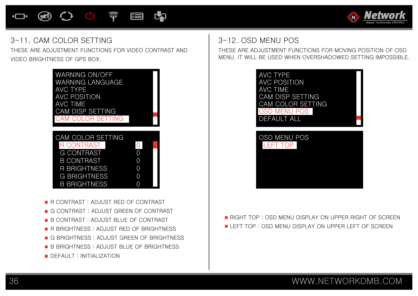### (5) 心 空 国 **L**



### 3-11. CAM COLOR SETTING

THESE ARE ADJUSTMENT FUNCTIONS FOR VIDEO CONTRAST AND VIDEO BRIGHTNESS OF GPS BOX.



- R CONTRAST : ADJUST RED OF CONTRAST
- G CONTRAST : ADJUST GREEN OF CONTRAST
- B CONTRAST : ADJUST BLUE OF CONTRAST
- **R BRIGHTNESS : ADJUST RED OF BRIGHTNESS**
- G BRIGHTNESS : ADJUST GREEN OF BRIGHTNESS
- **B** B BRIGHTNESS : ADJUST BLUE OF BRIGHTNESS
- **DEFAULT : INITIALIZATION**

# 3-12. OSD MENU POS

THESE ARE ADJUSTMENT FUNCTIONS FOR MOVING POSITION OF OSD MENU. IT WILL BE USED WHEN OVERSHADOWED SETTING IMPOSSIBLE.



**RIGHT TOP : OSD MENU DISPLAY ON UPPER RIGHT OF SCREEN** LEFT TOP : OSD MENU DISPLAY ON UPPER LEFT OF SCREEN